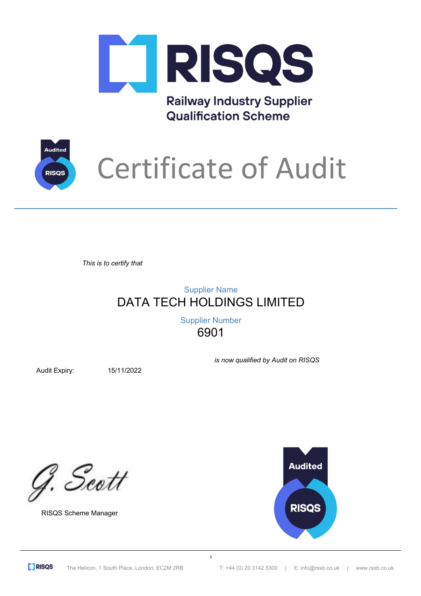

**Railway Industry Supplier Qualification Scheme** 



## Certificate of Audit

*This is to certify that*

## DATA TECH HOLDINGS LIMITED Supplier Name

6901 Supplier Number

**1**

Audit Expiry: 15/11/2022

*is now qualified by Audit on RISQS*

G. Scott

RISQS Scheme Manager